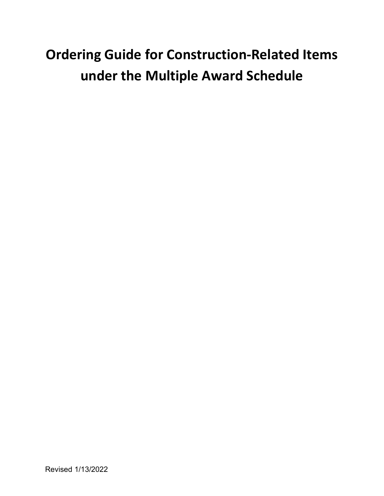# **Ordering Guide for Construction-Related Items under the Multiple Award Schedule**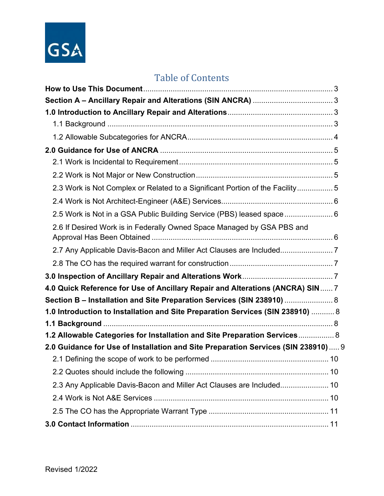

# Table of Contents

| 2.3 Work is Not Complex or Related to a Significant Portion of the Facility 5     |  |
|-----------------------------------------------------------------------------------|--|
|                                                                                   |  |
| 2.5 Work is Not in a GSA Public Building Service (PBS) leased space 6             |  |
| 2.6 If Desired Work is in Federally Owned Space Managed by GSA PBS and            |  |
| 2.7 Any Applicable Davis-Bacon and Miller Act Clauses are Included                |  |
|                                                                                   |  |
|                                                                                   |  |
| 4.0 Quick Reference for Use of Ancillary Repair and Alterations (ANCRA) SIN 7     |  |
| Section B - Installation and Site Preparation Services (SIN 238910)  8            |  |
| 1.0 Introduction to Installation and Site Preparation Services (SIN 238910)  8    |  |
|                                                                                   |  |
| 1.2 Allowable Categories for Installation and Site Preparation Services 8         |  |
| 2.0 Guidance for Use of Installation and Site Preparation Services (SIN 238910) 9 |  |
|                                                                                   |  |
|                                                                                   |  |
| 2.3 Any Applicable Davis-Bacon and Miller Act Clauses are Included 10             |  |
|                                                                                   |  |
|                                                                                   |  |
|                                                                                   |  |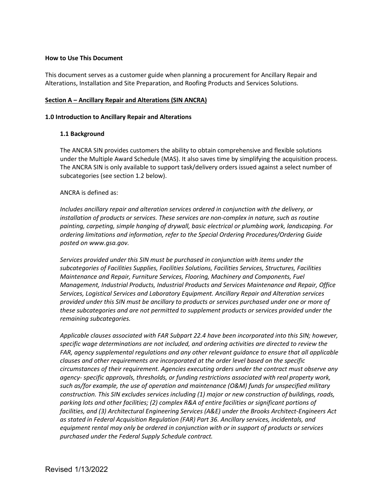#### <span id="page-2-0"></span>**How to Use This Document**

This document serves as a customer guide when planning a procurement for Ancillary Repair and Alterations, Installation and Site Preparation, and Roofing Products and Services Solutions.

#### <span id="page-2-1"></span>**Section A – Ancillary Repair and Alterations (SIN ANCRA)**

#### <span id="page-2-3"></span><span id="page-2-2"></span>**1.0 Introduction to Ancillary Repair and Alterations**

#### **1.1 Background**

 The ANCRA SIN provides customers the ability to obtain comprehensive and flexible solutions under the Multiple Award Schedule (MAS). It also saves time by simplifying the acquisition process. The ANCRA SIN is only available to support task/delivery orders issued against a select number of subcategories (see section 1.2 below).

#### ANCRA is defined as:

 *installation of products or services. These services are non-complex in nature, such as routine ordering limitations and information, refer to the Special Ordering Procedures/Ordering Guide Includes ancillary repair and alteration services ordered in conjunction with the delivery, or painting, carpeting, simple hanging of drywall, basic electrical or plumbing work, landscaping. For posted on [www.gsa.gov.](http://www.gsa.gov/)* 

 *Management, Industrial Products, Industrial Products and Services Maintenance and Repair, Office Services, Logistical Services and Laboratory Equipment. Ancillary Repair and Alteration services provided under this SIN must be ancillary to products or services purchased under one or more of Services provided under this SIN must be purchased in conjunction with items under the subcategories of Facilities Supplies, Facilities Solutions, Facilities Services, Structures, Facilities Maintenance and Repair, Furniture Services, Flooring, Machinery and Components, Fuel these subcategories and are not permitted to supplement products or services provided under the remaining subcategories.* 

 *parking lots and other facilities; (2) complex R&A of entire facilities or significant portions of as stated in Federal Acquisition Regulation (FAR) Part 36. Ancillary services, incidentals, and Applicable clauses associated with FAR Subpart 22.4 have been incorporated into this SIN; however, specific wage determinations are not included, and ordering activities are directed to review the FAR, agency supplemental regulations and any other relevant guidance to ensure that all applicable clauses and other requirements are incorporated at the order level based on the specific circumstances of their requirement. Agencies executing orders under the contract must observe any agency- specific approvals, thresholds, or funding restrictions associated with real property work, such as/for example, the use of operation and maintenance (O&M) funds for unspecified military construction. This SIN excludes services including (1) major or new construction of buildings, roads, facilities, and (3) Architectural Engineering Services (A&E) under the Brooks Architect-Engineers Act equipment rental may only be ordered in conjunction with or in support of products or services purchased under the Federal Supply Schedule contract.*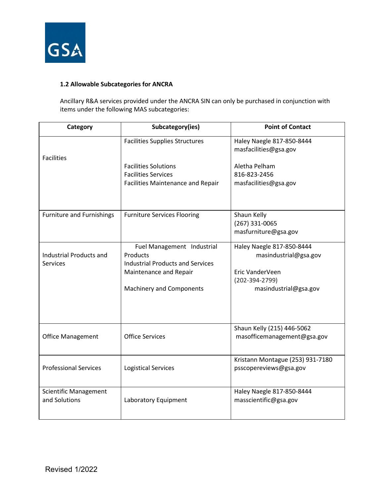

# <span id="page-3-0"></span>**1.2 Allowable Subcategories for ANCRA**

 Ancillary R&A services provided under the ANCRA SIN can only be purchased in conjunction with items under the following MAS subcategories:

| Category                                          | Subcategory(ies)                                                                  | <b>Point of Contact</b>                                          |
|---------------------------------------------------|-----------------------------------------------------------------------------------|------------------------------------------------------------------|
| <b>Facilities</b>                                 | <b>Facilities Supplies Structures</b>                                             | Haley Naegle 817-850-8444<br>masfacilities@gsa.gov               |
|                                                   | <b>Facilities Solutions</b><br><b>Facilities Services</b>                         | Aletha Pelham<br>816-823-2456                                    |
|                                                   | <b>Facilities Maintenance and Repair</b>                                          | masfacilities@gsa.gov                                            |
| <b>Furniture and Furnishings</b>                  | <b>Furniture Services Flooring</b>                                                | Shaun Kelly<br>(267) 331-0065<br>masfurniture@gsa.gov            |
| <b>Industrial Products and</b><br><b>Services</b> | Fuel Management Industrial<br>Products<br><b>Industrial Products and Services</b> | Haley Naegle 817-850-8444<br>masindustrial@gsa.gov               |
|                                                   | Maintenance and Repair<br><b>Machinery and Components</b>                         | Eric VanderVeen<br>$(202 - 394 - 2799)$<br>masindustrial@gsa.gov |
| Office Management                                 | <b>Office Services</b>                                                            | Shaun Kelly (215) 446-5062<br>masofficemanagement@gsa.gov        |
| <b>Professional Services</b>                      | <b>Logistical Services</b>                                                        | Kristann Montague (253) 931-7180<br>psscopereviews@gsa.gov       |
| <b>Scientific Management</b><br>and Solutions     | Laboratory Equipment                                                              | Haley Naegle 817-850-8444<br>masscientific@gsa.gov               |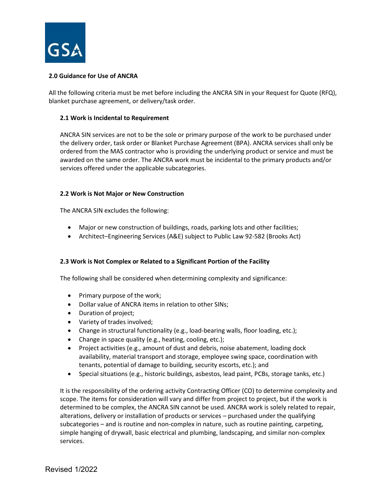

# <span id="page-4-0"></span>**2.0 Guidance for Use of ANCRA**

All the following criteria must be met before including the ANCRA SIN in your Request for Quote (RFQ), blanket purchase agreement, or delivery/task order.

#### <span id="page-4-1"></span>**2.1 Work is Incidental to Requirement**

 ordered from the MAS contractor who is providing the underlying product or service and must be awarded on the same order. The ANCRA work must be incidental to the primary products and/or ANCRA SIN services are not to be the sole or primary purpose of the work to be purchased under the delivery order, task order or Blanket Purchase Agreement (BPA). ANCRA services shall only be services offered under the applicable subcategories.

#### <span id="page-4-2"></span> **2.2 Work is Not Major or New Construction**

The ANCRA SIN excludes the following:

- Major or new construction of buildings, roads, parking lots and other facilities;
- Architect–Engineering Services (A&E) subject to Public Law 92-582 (Brooks Act)

#### <span id="page-4-3"></span> **2.3 Work is Not Complex or Related to a Significant Portion of the Facility**

The following shall be considered when determining complexity and significance:

- Primary purpose of the work;
- Dollar value of ANCRA items in relation to other SINs;
- Duration of project;
- Variety of trades involved;
- Change in structural functionality (e.g., load-bearing walls, floor loading, etc.);
- Change in space quality (e.g., heating, cooling, etc.);
- availability, material transport and storage, employee swing space, coordination with • Project activities (e.g., amount of dust and debris, noise abatement, loading dock tenants, potential of damage to building, security escorts, etc.); and
- Special situations (e.g., historic buildings, asbestos, lead paint, PCBs, storage tanks, etc.)

 simple hanging of drywall, basic electrical and plumbing, landscaping, and similar non-complex It is the responsibility of the ordering activity Contracting Officer (CO) to determine complexity and scope. The items for consideration will vary and differ from project to project, but if the work is determined to be complex, the ANCRA SIN cannot be used. ANCRA work is solely related to repair, alterations, delivery or installation of products or services – purchased under the qualifying subcategories – and is routine and non-complex in nature, such as routine painting, carpeting, services.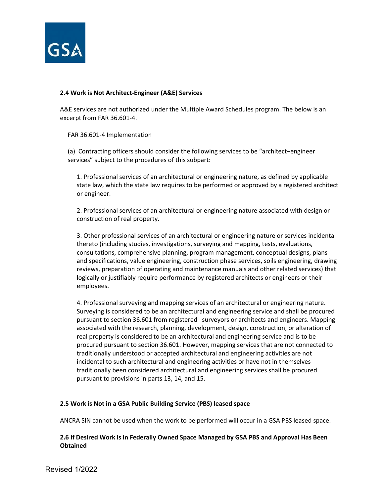

# <span id="page-5-0"></span>**2.4 Work is Not Architect-Engineer (A&E) Services**

 A&E services are not authorized under the Multiple Award Schedules program. The below is an excerpt from FAR 36.601-4.

FAR 36.601-4 Implementation

 (a) Contracting officers should consider the following services to be "architect–engineer services" subject to the procedures of this subpart:

1. Professional services of an architectural or engineering nature, as defined by applicable state law, which the state law requires to be performed or approved by a registered architect or engineer.

2. Professional services of an architectural or engineering nature associated with design or construction of real property.

 thereto (including studies, investigations, surveying and mapping, tests, evaluations, reviews, preparation of operating and maintenance manuals and other related services) that logically or justifiably require performance by registered architects or engineers or their 3. Other professional services of an architectural or engineering nature or services incidental consultations, comprehensive planning, program management, conceptual designs, plans and specifications, value engineering, construction phase services, soils engineering, drawing employees.

 pursuant to section 36.601 from registered surveyors or architects and engineers. Mapping traditionally understood or accepted architectural and engineering activities are not 4. Professional surveying and mapping services of an architectural or engineering nature. Surveying is considered to be an architectural and engineering service and shall be procured associated with the research, planning, development, design, construction, or alteration of real property is considered to be an architectural and engineering service and is to be procured pursuant to section 36.601. However, mapping services that are not connected to incidental to such architectural and engineering activities or have not in themselves traditionally been considered architectural and engineering services shall be procured pursuant to provisions in parts 13, 14, and 15.

# <span id="page-5-1"></span> **2.5 Work is Not in a GSA Public Building Service (PBS) leased space**

ANCRA SIN cannot be used when the work to be performed will occur in a GSA PBS leased space.

# <span id="page-5-2"></span>**2.6 If Desired Work is in Federally Owned Space Managed by GSA PBS and Approval Has Been Obtained**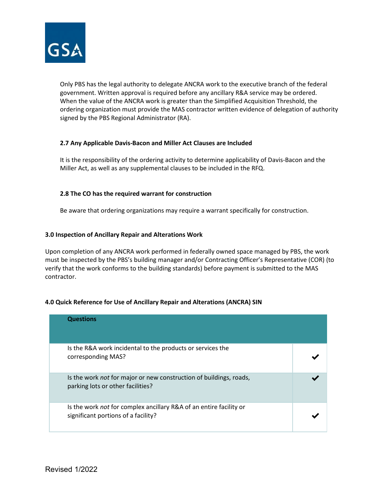

 government. Written approval is required before any ancillary R&A service may be ordered. ordering organization must provide the MAS contractor written evidence of delegation of authority Only PBS has the legal authority to delegate ANCRA work to the executive branch of the federal When the value of the ANCRA work is greater than the Simplified Acquisition Threshold, the signed by the PBS Regional Administrator (RA).

#### <span id="page-6-0"></span> **2.7 Any Applicable Davis-Bacon and Miller Act Clauses are Included**

 It is the responsibility of the ordering activity to determine applicability of Davis-Bacon and the Miller Act, as well as any supplemental clauses to be included in the RFQ.

# <span id="page-6-1"></span> **2.8 The CO has the required warrant for construction**

Be aware that ordering organizations may require a warrant specifically for construction.

#### <span id="page-6-2"></span>**3.0 Inspection of Ancillary Repair and Alterations Work**

 Upon completion of any ANCRA work performed in federally owned space managed by PBS, the work must be inspected by the PBS's building manager and/or Contracting Officer's Representative (COR) (to verify that the work conforms to the building standards) before payment is submitted to the MAS contractor.

## <span id="page-6-3"></span> **4.0 Quick Reference for Use of Ancillary Repair and Alterations (ANCRA) SIN**

| <b>Questions</b>                                                                                          |  |
|-----------------------------------------------------------------------------------------------------------|--|
| Is the R&A work incidental to the products or services the<br>corresponding MAS?                          |  |
| Is the work not for major or new construction of buildings, roads,<br>parking lots or other facilities?   |  |
| Is the work not for complex ancillary R&A of an entire facility or<br>significant portions of a facility? |  |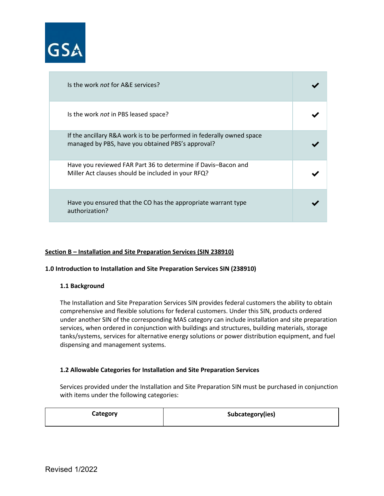

| Is the work not for A&E services?                                                                                          |  |
|----------------------------------------------------------------------------------------------------------------------------|--|
| Is the work not in PBS leased space?                                                                                       |  |
| If the ancillary R&A work is to be performed in federally owned space<br>managed by PBS, have you obtained PBS's approval? |  |
| Have you reviewed FAR Part 36 to determine if Davis-Bacon and<br>Miller Act clauses should be included in your RFQ?        |  |
| Have you ensured that the CO has the appropriate warrant type<br>authorization?                                            |  |

#### <span id="page-7-0"></span>**Section B – Installation and Site Preparation Services (SIN 238910)**

#### <span id="page-7-1"></span>**1.0 Introduction to Installation and Site Preparation Services SIN (238910)**

#### <span id="page-7-2"></span>**1.1 Background**

 The Installation and Site Preparation Services SIN provides federal customers the ability to obtain services, when ordered in conjunction with buildings and structures, building materials, storage comprehensive and flexible solutions for federal customers. Under this SIN, products ordered under another SIN of the corresponding MAS category can include installation and site preparation tanks/systems, services for alternative energy solutions or power distribution equipment, and fuel dispensing and management systems.

#### <span id="page-7-3"></span>**1.2 Allowable Categories for Installation and Site Preparation Services**

Services provided under the Installation and Site Preparation SIN must be purchased in conjunction with items under the following categories:

| Category | Subcategory(ies) |
|----------|------------------|
|          |                  |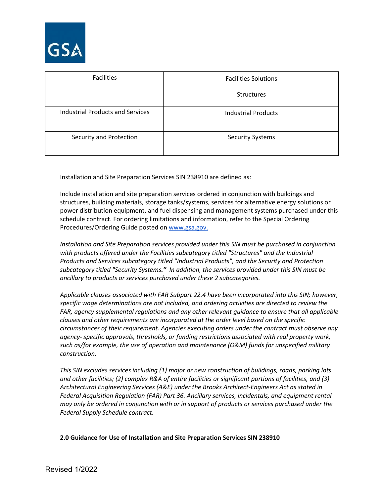

| <b>Facilities</b>                       | <b>Facilities Solutions</b> |
|-----------------------------------------|-----------------------------|
|                                         | <b>Structures</b>           |
| <b>Industrial Products and Services</b> | <b>Industrial Products</b>  |
| Security and Protection                 | <b>Security Systems</b>     |

Installation and Site Preparation Services SIN 238910 are defined as:

Procedures/Ordering Guide posted on [www.gsa.gov.](http://www.gsa.gov/) Include installation and site preparation services ordered in conjunction with buildings and structures, building materials, storage tanks/systems, services for alternative energy solutions or power distribution equipment, and fuel dispensing and management systems purchased under this schedule contract. For ordering limitations and information, refer to the Special Ordering

 *Products and Services subcategory titled "Industrial Products", and the Security and Protection subcategory titled "Security Systems." In addition, the services provided under this SIN must be Installation and Site Preparation services provided under this SIN must be purchased in conjunction with products offered under the Facilities subcategory titled "Structures" and the Industrial ancillary to products or services purchased under these 2 subcategories.* 

 *Applicable clauses associated with FAR Subpart 22.4 have been incorporated into this SIN; however, specific wage determinations are not included, and ordering activities are directed to review the FAR, agency supplemental regulations and any other relevant guidance to ensure that all applicable clauses and other requirements are incorporated at the order level based on the specific circumstances of their requirement. Agencies executing orders under the contract must observe any agency- specific approvals, thresholds, or funding restrictions associated with real property work, such as/for example, the use of operation and maintenance (O&M) funds for unspecified military construction.* 

 *This SIN excludes services including (1) major or new construction of buildings, roads, parking lots Federal Acquisition Regulation (FAR) Part 36. Ancillary services, incidentals, and equipment rental and other facilities; (2) complex R&A of entire facilities or significant portions of facilities, and (3) Architectural Engineering Services (A&E) under the Brooks Architect-Engineers Act as stated in may only be ordered in conjunction with or in support of products or services purchased under the Federal Supply Schedule contract.* 

#### <span id="page-8-0"></span>**2.0 Guidance for Use of Installation and Site Preparation Services SIN 238910**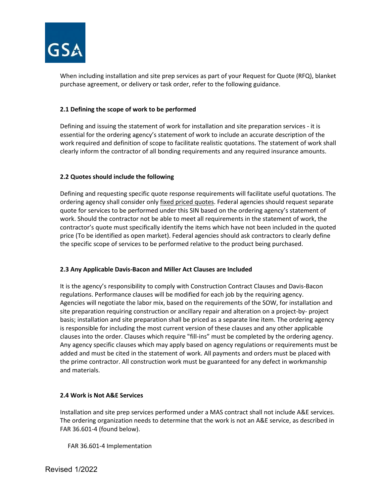

When including installation and site prep services as part of your Request for Quote (RFQ), blanket purchase agreement, or delivery or task order, refer to the following guidance.

## <span id="page-9-0"></span>**2.1 Defining the scope of work to be performed**

 essential for the ordering agency's statement of work to include an accurate description of the Defining and issuing the statement of work for installation and site preparation services - it is work required and definition of scope to facilitate realistic quotations. The statement of work shall clearly inform the contractor of all bonding requirements and any required insurance amounts.

#### <span id="page-9-1"></span>**2.2 Quotes should include the following**

 quote for services to be performed under this SIN based on the ordering agency's statement of work. Should the contractor not be able to meet all requirements in the statement of work, the Defining and requesting specific quote response requirements will facilitate useful quotations. The ordering agency shall consider only *fixed priced quotes*. Federal agencies should request separate contractor's quote must specifically identify the items which have not been included in the quoted price (To be identified as open market). Federal agencies should ask contractors to clearly define the specific scope of services to be performed relative to the product being purchased.

# <span id="page-9-2"></span> **2.3 Any Applicable Davis-Bacon and Miller Act Clauses are Included**

 regulations. Performance clauses will be modified for each job by the requiring agency. Any agency specific clauses which may apply based on agency regulations or requirements must be added and must be cited in the statement of work. All payments and orders must be placed with the prime contractor. All construction work must be guaranteed for any defect in workmanship It is the agency's responsibility to comply with Construction Contract Clauses and Davis-Bacon Agencies will negotiate the labor mix, based on the requirements of the SOW, for installation and site preparation requiring construction or ancillary repair and alteration on a project-by- project basis; installation and site preparation shall be priced as a separate line item. The ordering agency is responsible for including the most current version of these clauses and any other applicable clauses into the order. Clauses which require "fill-ins" must be completed by the ordering agency. and materials.

#### <span id="page-9-3"></span>**2.4 Work is Not A&E Services**

Installation and site prep services performed under a MAS contract shall not include A&E services. The ordering organization needs to determine that the work is not an A&E service, as described in FAR 36.601-4 (found below).

FAR 36.601-4 Implementation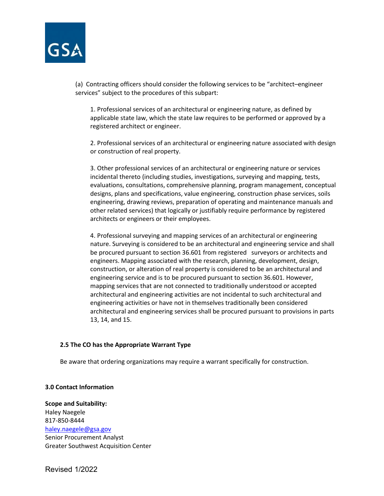

 (a) Contracting officers should consider the following services to be "architect–engineer services" subject to the procedures of this subpart:

 applicable state law, which the state law requires to be performed or approved by a 1. Professional services of an architectural or engineering nature, as defined by registered architect or engineer.

2. Professional services of an architectural or engineering nature associated with design or construction of real property.

 evaluations, consultations, comprehensive planning, program management, conceptual designs, plans and specifications, value engineering, construction phase services, soils 3. Other professional services of an architectural or engineering nature or services incidental thereto (including studies, investigations, surveying and mapping, tests, engineering, drawing reviews, preparation of operating and maintenance manuals and other related services) that logically or justifiably require performance by registered architects or engineers or their employees.

4. Professional surveying and mapping services of an architectural or engineering nature. Surveying is considered to be an architectural and engineering service and shall be procured pursuant to section 36.601 from registered surveyors or architects and engineers. Mapping associated with the research, planning, development, design, construction, or alteration of real property is considered to be an architectural and engineering service and is to be procured pursuant to section 36.601. However, mapping services that are not connected to traditionally understood or accepted architectural and engineering activities are not incidental to such architectural and engineering activities or have not in themselves traditionally been considered architectural and engineering services shall be procured pursuant to provisions in parts 13, 14, and 15.

#### <span id="page-10-0"></span> **2.5 The CO has the Appropriate Warrant Type**

Be aware that ordering organizations may require a warrant specifically for construction.

#### <span id="page-10-1"></span>**3.0 Contact Information**

**Scope and Suitability:**  Haley Naegele 817-850-8444 [haley.naegele@gsa.gov](mailto:haley.naegele@gsa.gov) Senior Procurement Analyst Greater Southwest Acquisition Center

Revised 1/2022